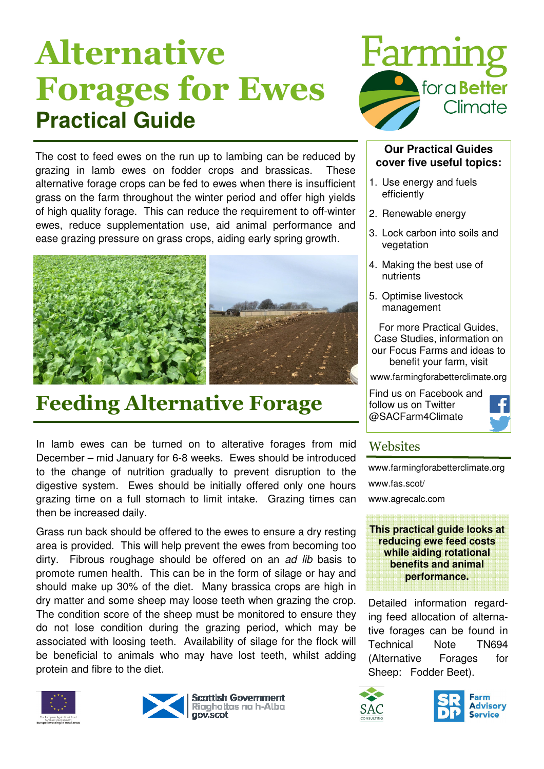# Alternative Forages for Ewes **Practical Guide**

The cost to feed ewes on the run up to lambing can be reduced by grazing in lamb ewes on fodder crops and brassicas. These alternative forage crops can be fed to ewes when there is insufficient grass on the farm throughout the winter period and offer high yields of high quality forage. This can reduce the requirement to off-winter ewes, reduce supplementation use, aid animal performance and ease grazing pressure on grass crops, aiding early spring growth.





## Feeding Alternative Forage

In lamb ewes can be turned on to alterative forages from mid December – mid January for 6-8 weeks. Ewes should be introduced to the change of nutrition gradually to prevent disruption to the digestive system. Ewes should be initially offered only one hours grazing time on a full stomach to limit intake. Grazing times can then be increased daily.

Grass run back should be offered to the ewes to ensure a dry resting area is provided. This will help prevent the ewes from becoming too dirty. Fibrous roughage should be offered on an *ad lib* basis to promote rumen health. This can be in the form of silage or hay and should make up 30% of the diet. Many brassica crops are high in dry matter and some sheep may loose teeth when grazing the crop. The condition score of the sheep must be monitored to ensure they do not lose condition during the grazing period, which may be associated with loosing teeth. Availability of silage for the flock will be beneficial to animals who may have lost teeth, whilst adding protein and fibre to the diet.









#### **Our Practical Guides cover five useful topics:**

- 1. Use energy and fuels efficiently
- 2. Renewable energy
- 3. Lock carbon into soils and vegetation
- 4. Making the best use of nutrients
- 5. Optimise livestock management

For more Practical Guides, Case Studies, information on our Focus Farms and ideas to benefit your farm, visit

www.farmingforabetterclimate.org

Find us on Facebook and follow us on Twitter @SACFarm4Climate



#### **Websites**

www.farmingforabetterclimate.org www.fas.scot/

www.agrecalc.com



Detailed information regarding feed allocation of alternative forages can be found in Technical Note TN694 (Alternative Forages for Sheep: Fodder Beet).